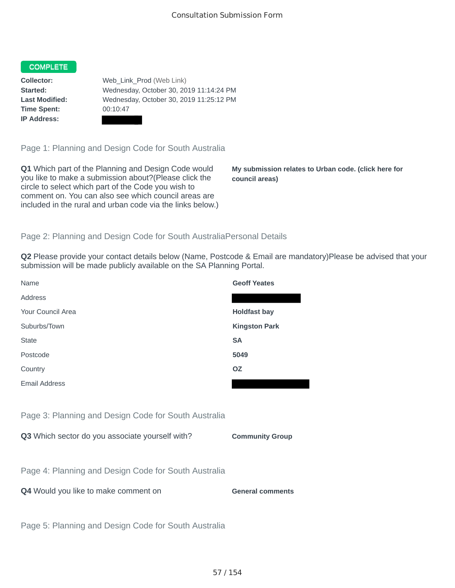## COMPLETE

**Time Spent:** 00:10:47 **IP Address:**

**Collector:** Web\_Link\_Prod (Web Link) **Started:** Wednesday, October 30, 2019 11:14:24 PM **Last Modified:** Wednesday, October 30, 2019 11:25:12 PM

Page 1: Planning and Design Code for South Australia

**Q1** Which part of the Planning and Design Code would you like to make a submission about?(Please click the circle to select which part of the Code you wish to comment on. You can also see which council areas are included in the rural and urban code via the links below.)

**My submission relates to Urban code. (click here for council areas)**

## Page 2: Planning and Design Code for South AustraliaPersonal Details

**Q2** Please provide your contact details below (Name, Postcode & Email are mandatory)Please be advised that your submission will be made publicly available on the SA Planning Portal.

| Name                                                 | <b>Geoff Yeates</b>     |
|------------------------------------------------------|-------------------------|
| Address                                              |                         |
| Your Council Area                                    | <b>Holdfast bay</b>     |
| Suburbs/Town                                         | <b>Kingston Park</b>    |
| <b>State</b>                                         | <b>SA</b>               |
| Postcode                                             | 5049                    |
| Country                                              | <b>OZ</b>               |
| <b>Email Address</b>                                 |                         |
|                                                      |                         |
| Page 3: Planning and Design Code for South Australia |                         |
| Q3 Which sector do you associate yourself with?      | <b>Community Group</b>  |
|                                                      |                         |
| Page 4: Planning and Design Code for South Australia |                         |
| Q4 Would you like to make comment on                 | <b>General comments</b> |
|                                                      |                         |
| Page 5: Planning and Design Code for South Australia |                         |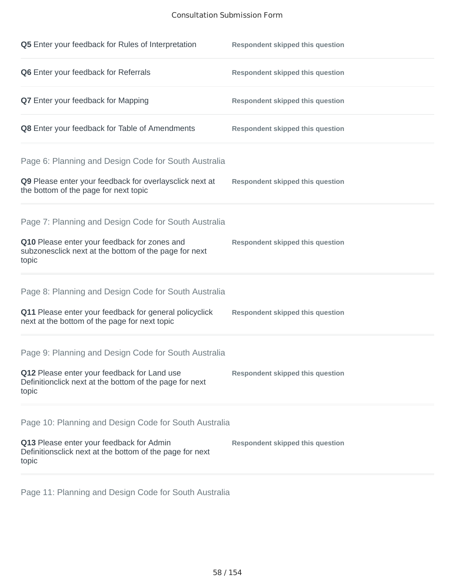## Consultation Submission Form

| Q5 Enter your feedback for Rules of Interpretation                                                              | <b>Respondent skipped this question</b> |
|-----------------------------------------------------------------------------------------------------------------|-----------------------------------------|
| Q6 Enter your feedback for Referrals                                                                            | <b>Respondent skipped this question</b> |
| <b>Q7</b> Enter your feedback for Mapping                                                                       | <b>Respondent skipped this question</b> |
| Q8 Enter your feedback for Table of Amendments                                                                  | <b>Respondent skipped this question</b> |
| Page 6: Planning and Design Code for South Australia                                                            |                                         |
| Q9 Please enter your feedback for overlaysclick next at<br>the bottom of the page for next topic                | <b>Respondent skipped this question</b> |
| Page 7: Planning and Design Code for South Australia                                                            |                                         |
| Q10 Please enter your feedback for zones and<br>subzonesclick next at the bottom of the page for next<br>topic  | <b>Respondent skipped this question</b> |
| Page 8: Planning and Design Code for South Australia                                                            |                                         |
| Q11 Please enter your feedback for general policyclick<br>next at the bottom of the page for next topic         | <b>Respondent skipped this question</b> |
| Page 9: Planning and Design Code for South Australia                                                            |                                         |
| Q12 Please enter your feedback for Land use<br>Definitionclick next at the bottom of the page for next<br>topic | <b>Respondent skipped this question</b> |
| Page 10: Planning and Design Code for South Australia                                                           |                                         |
| Q13 Please enter your feedback for Admin<br>Definitionsclick next at the bottom of the page for next<br>topic   | <b>Respondent skipped this question</b> |

Page 11: Planning and Design Code for South Australia